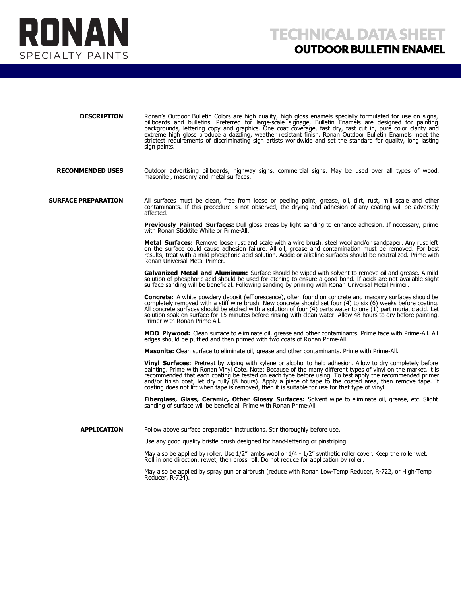

| <b>DESCRIPTION</b>         | Ronan's Outdoor Bulletin Colors are high quality, high gloss enamels specially formulated for use on signs,<br>billboards and bulletins. Preferred for large-scale signage, Bulletin Enamels are designed for painting<br>backgrounds, lettering copy and graphics. One coat coverage, fast dry, fast cut in, pure color clarity and<br>extreme high gloss produce a dazzling, weather resistant finish. Ronan Outdoor Bulletin Enamels meet the<br>strictest requirements of discriminating sign artists worldwide and set the standard for quality, long lasting<br>sign paints. |
|----------------------------|------------------------------------------------------------------------------------------------------------------------------------------------------------------------------------------------------------------------------------------------------------------------------------------------------------------------------------------------------------------------------------------------------------------------------------------------------------------------------------------------------------------------------------------------------------------------------------|
| <b>RECOMMENDED USES</b>    | Outdoor advertising billboards, highway signs, commercial signs. May be used over all types of wood,<br>masonite, masonry and metal surfaces.                                                                                                                                                                                                                                                                                                                                                                                                                                      |
| <b>SURFACE PREPARATION</b> | All surfaces must be clean, free from loose or peeling paint, grease, oil, dirt, rust, mill scale and other<br>contaminants. If this procedure is not observed, the drying and adhesion of any coating will be adversely<br>affected.                                                                                                                                                                                                                                                                                                                                              |
|                            | Previously Painted Surfaces: Dull gloss areas by light sanding to enhance adhesion. If necessary, prime<br>with Ronan Sticktite White or Prime-All.                                                                                                                                                                                                                                                                                                                                                                                                                                |
|                            | <b>Metal Surfaces:</b> Remove loose rust and scale with a wire brush, steel wool and/or sandpaper. Any rust left<br>on the surface could cause adhesion failure. All oil, grease and contamination must be removed. For best<br>results, treat with a mild phosphoric acid solution. Acidic or alkaline surfaces should be neutralized. Prime with<br>Ronan Universal Metal Primer.                                                                                                                                                                                                |
|                            | <b>Galvanized Metal and Aluminum:</b> Surface should be wiped with solvent to remove oil and grease. A mild<br>solution of phosphoric acid should be used for etching to ensure a good bond. If acids are not available slight<br>surface sanding will be beneficial. Following sanding by priming with Ronan Universal Metal Primer.                                                                                                                                                                                                                                              |
|                            | Concrete: A white powdery deposit (efflorescence), often found on concrete and masonry surfaces should be<br>completely removed with a stiff wire brush. New concrete should set four (4) to six (6) weeks before coating.<br>All concrete surfaces should be etched with a solution of four (4) parts water to one $(1)$ part muriatic acid. Let<br>solution soak on surface for 15 minutes before rinsing with clean water. Allow 48 hours to dry before painting.<br>Primer with Ronan Prime-All.                                                                               |
|                            | <b>MDO Plywood:</b> Clean surface to eliminate oil, grease and other contaminants. Prime face with Prime-All. All<br>edges should be puttied and then primed with two coats of Ronan Prime-All.                                                                                                                                                                                                                                                                                                                                                                                    |
|                            | <b>Masonite:</b> Clean surface to eliminate oil, grease and other contaminants. Prime with Prime-All.                                                                                                                                                                                                                                                                                                                                                                                                                                                                              |
|                            | <b>Vinyl Surfaces:</b> Pretreat by wiping with xylene or alcohol to help adhesion. Allow to dry completely before<br>painting. Prime with Ronan Vinyl Cote. Note: Because of the many different types of vinyl on the market, it is<br>recommended that each coating be tested on each type before using. To test apply the recommended primer<br>and/or finish coat, let dry fully (8 hours). Apply a piece of tape to the coated area, then remove tape. If<br>coating does not lift when tape is removed, then it is suitable for use for that type of vinyl.                   |
|                            | Fiberglass, Glass, Ceramic, Other Glossy Surfaces: Solvent wipe to eliminate oil, grease, etc. Slight<br>sanding of surface will be beneficial. Prime with Ronan Prime-All.                                                                                                                                                                                                                                                                                                                                                                                                        |
| <b>APPLICATION</b>         | Follow above surface preparation instructions. Stir thoroughly before use.                                                                                                                                                                                                                                                                                                                                                                                                                                                                                                         |
|                            | Use any good quality bristle brush designed for hand-lettering or pinstriping.                                                                                                                                                                                                                                                                                                                                                                                                                                                                                                     |
|                            | May also be applied by roller. Use 1/2" lambs wool or 1/4 - 1/2" synthetic roller cover. Keep the roller wet.<br>Roll in one direction, rewet, then cross roll. Do not reduce for application by roller.                                                                                                                                                                                                                                                                                                                                                                           |
|                            | May also be applied by spray gun or airbrush (reduce with Ronan Low-Temp Reducer, R-722, or High-Temp<br>Reducer, R-724).                                                                                                                                                                                                                                                                                                                                                                                                                                                          |
|                            |                                                                                                                                                                                                                                                                                                                                                                                                                                                                                                                                                                                    |